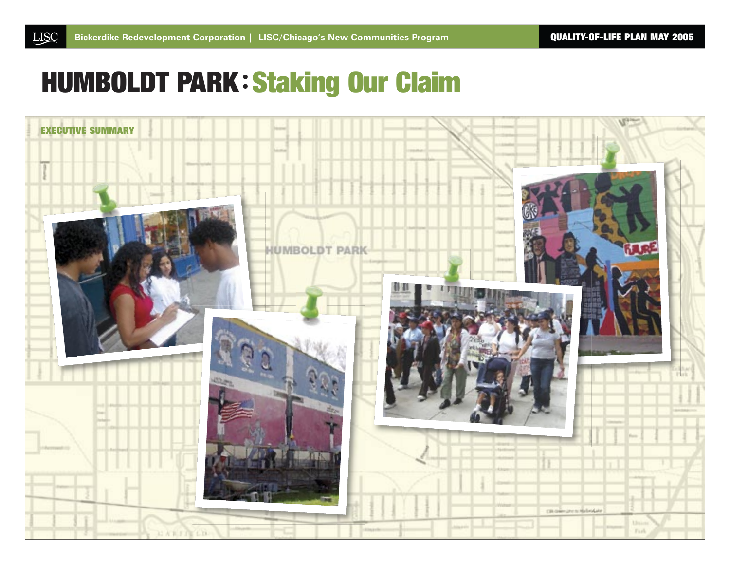# HUMBOLDT PARK **:** Staking Our Claim

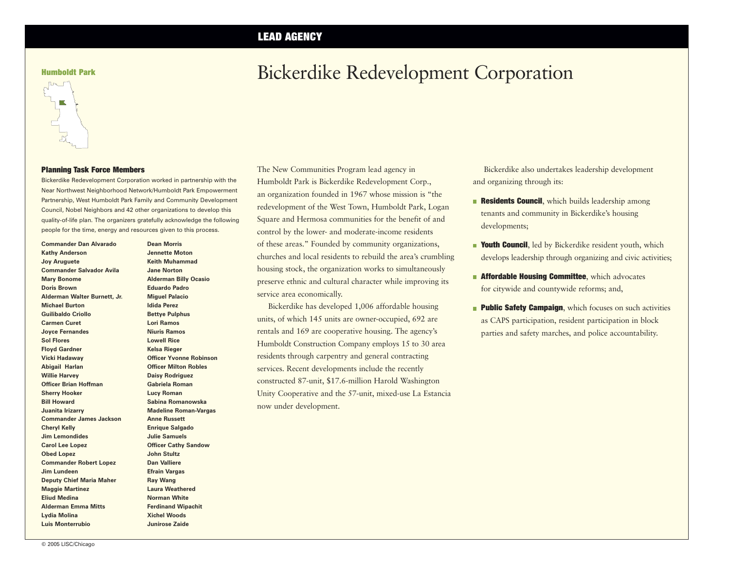# LEAD AGENCY

Humboldt Park

# Bickerdike Redevelopment Corporation

#### Planning Task Force Members

Bickerdike Redevelopment Corporation worked in partnership with the Near Northwest Neighborhood Network/Humboldt Park Empowerment Partnership, West Humboldt Park Family and Community Development Council, Nobel Neighbors and 42 other organizations to develop this quality-of-life plan. The organizers gratefully acknowledge the following people for the time, energy and resources given to this process.

**Commander Dan Alvarado Kathy Anderson Joy Aruguete Commander Salvador Avila Mary Bonome Doris Brown Alderman Walter Burnett, Jr. Michael Burton Guilibaldo Criollo Carmen Curet Joyce Fernandes Sol Flores Floyd Gardner Vicki Hadaway Abigail Harlan Willie Harvey Officer Brian Hoffman Sherry Hooker Bill Howard Juanita Irizarry Commander James Jackson Cheryl Kelly Jim Lemondides Carol Lee Lopez Obed Lopez Commander Robert Lopez Jim Lundeen Deputy Chief Maria Maher Maggie Martinez Eliud Medina Alderman Emma Mitts Lydia Molina Luis Monterrubio**

**Dean Morris Jennette Moton Keith Muhammad Jane Norton Alderman Billy Ocasio Eduardo Padro Miguel Palacio Idida Perez Bettye Pulphus Lori Ramos Niuris Ramos Lowell Rice Kelsa Rieger Officer Yvonne Robinson Officer Milton Robles Daisy Rodriguez Gabriela Roman Lucy Roman Sabina Romanowska Madeline Roman-Vargas Anne Russett Enrique Salgado Julie Samuels Officer Cathy Sandow John Stultz Dan Valliere Efrain Vargas Ray Wang Laura Weathered Norman White Ferdinand Wipachit Xichel Woods Junirose Zaide**

The New Communities Program lead agency in Humboldt Park is Bickerdike Redevelopment Corp., an organization founded in 1967 whose mission is "the redevelopment of the West Town, Humboldt Park, Logan Square and Hermosa communities for the benefit of and control by the lower- and moderate-income residents of these areas." Founded by community organizations, churches and local residents to rebuild the area's crumbling housing stock, the organization works to simultaneously preserve ethnic and cultural character while improving its service area economically.

Bickerdike has developed 1,006 affordable housing units, of which 145 units are owner-occupied, 692 are rentals and 169 are cooperative housing. The agency's Humboldt Construction Company employs 15 to 30 area residents through carpentry and general contracting services. Recent developments include the recently constructed 87-unit, \$17.6-million Harold Washington Unity Cooperative and the 57-unit, mixed-use La Estancia now under development.

Bickerdike also undertakes leadership development and organizing through its:

- **Residents Council,** which builds leadership among tenants and community in Bickerdike's housing developments;
- **Youth Council**, led by Bickerdike resident youth, which develops leadership through organizing and civic activities;
- **Affordable Housing Committee, which advocates** for citywide and countywide reforms; and,
- **Public Safety Campaign, which focuses on such activities** as CAPS participation, resident participation in block parties and safety marches, and police accountability.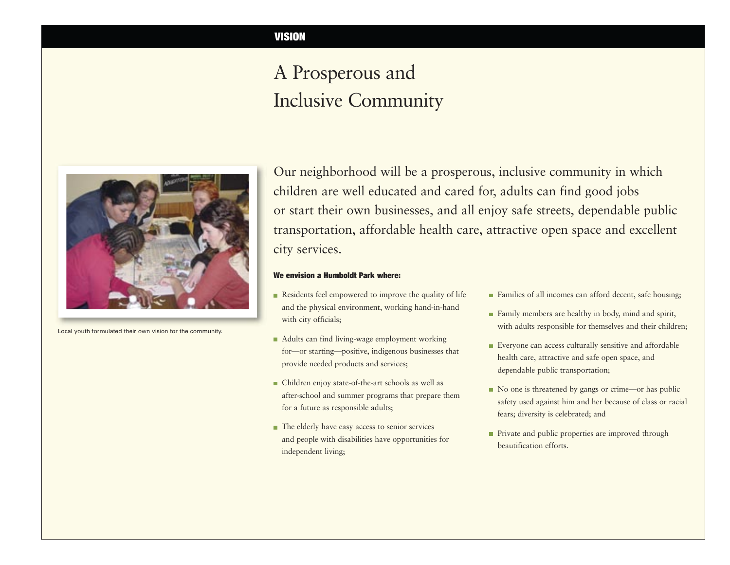# A Prosperous and Inclusive Community



Local youth formulated their own vision for the community.

Our neighborhood will be a prosperous, inclusive community in which children are well educated and cared for, adults can find good jobs or start their own businesses, and all enjoy safe streets, dependable public transportation, affordable health care, attractive open space and excellent city services.

#### We envision a Humboldt Park where:

- Residents feel empowered to improve the quality of life and the physical environment, working hand-in-hand with city officials;
- Adults can find living-wage employment working for—or starting—positive, indigenous businesses that provide needed products and services;
- Children enjoy state-of-the-art schools as well as after-school and summer programs that prepare them for a future as responsible adults;
- The elderly have easy access to senior services and people with disabilities have opportunities for independent living;
- **Families of all incomes can afford decent, safe housing;**
- **Family members are healthy in body, mind and spirit,** with adults responsible for themselves and their children;
- Everyone can access culturally sensitive and affordable health care, attractive and safe open space, and dependable public transportation;
- No one is threatened by gangs or crime—or has public safety used against him and her because of class or racial fears; diversity is celebrated; and
- Private and public properties are improved through beautification efforts.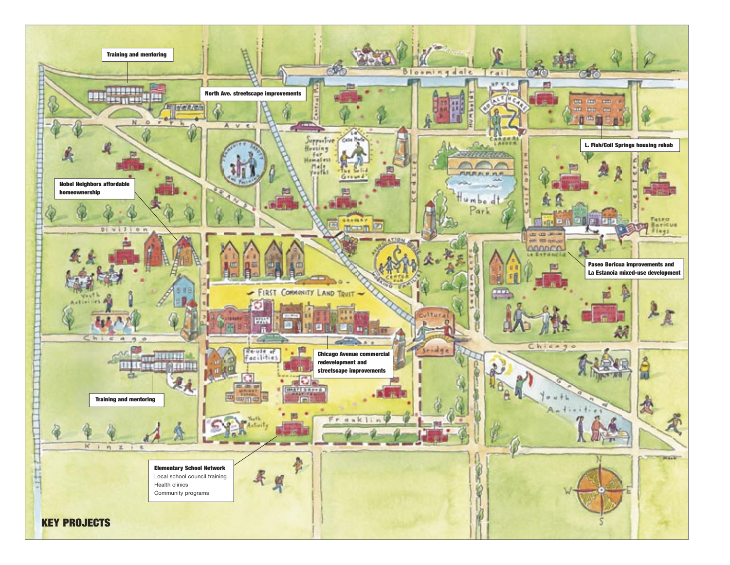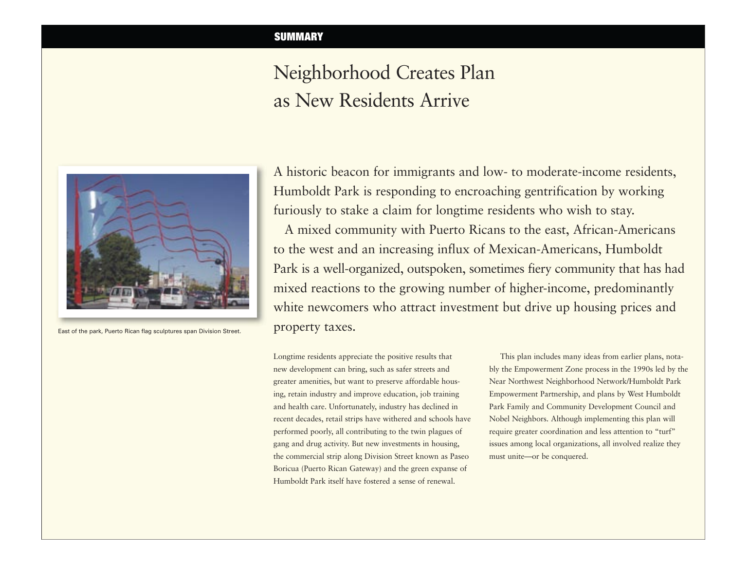# Neighborhood Creates Plan as New Residents Arrive



East of the park, Puerto Rican flag sculptures span Division Street.

A historic beacon for immigrants and low- to moderate-income residents, Humboldt Park is responding to encroaching gentrification by working furiously to stake a claim for longtime residents who wish to stay.

A mixed community with Puerto Ricans to the east, African-Americans to the west and an increasing influx of Mexican-Americans, Humboldt Park is a well-organized, outspoken, sometimes fiery community that has had mixed reactions to the growing number of higher-income, predominantly white newcomers who attract investment but drive up housing prices and property taxes.

Longtime residents appreciate the positive results that new development can bring, such as safer streets and greater amenities, but want to preserve affordable housing, retain industry and improve education, job training and health care. Unfortunately, industry has declined in recent decades, retail strips have withered and schools have performed poorly, all contributing to the twin plagues of gang and drug activity. But new investments in housing, the commercial strip along Division Street known as Paseo Boricua (Puerto Rican Gateway) and the green expanse of Humboldt Park itself have fostered a sense of renewal.

This plan includes many ideas from earlier plans, notably the Empowerment Zone process in the 1990s led by the Near Northwest Neighborhood Network/Humboldt Park Empowerment Partnership, and plans by West Humboldt Park Family and Community Development Council and Nobel Neighbors. Although implementing this plan will require greater coordination and less attention to "turf" issues among local organizations, all involved realize they must unite—or be conquered.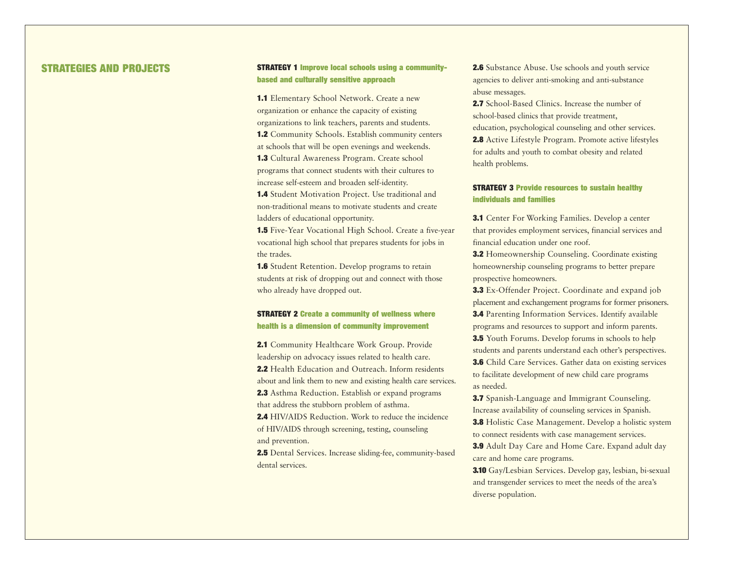# STRATEGIES AND PROJECTS

#### STRATEGY 1 Improve local schools using a communitybased and culturally sensitive approach

1.1 Elementary School Network. Create a new organization or enhance the capacity of existing organizations to link teachers, parents and students. 1.2 Community Schools. Establish community centers at schools that will be open evenings and weekends. 1.3 Cultural Awareness Program. Create school programs that connect students with their cultures to increase self-esteem and broaden self-identity. 1.4 Student Motivation Project. Use traditional and

non-traditional means to motivate students and create ladders of educational opportunity.

1.5 Five-Year Vocational High School. Create a five-year vocational high school that prepares students for jobs in the trades.

**1.6** Student Retention. Develop programs to retain students at risk of dropping out and connect with those who already have dropped out.

# STRATEGY 2 Create a community of wellness where health is a dimension of community improvement

2.1 Community Healthcare Work Group. Provide leadership on advocacy issues related to health care. 2.2 Health Education and Outreach. Inform residents about and link them to new and existing health care services. 2.3 Asthma Reduction. Establish or expand programs that address the stubborn problem of asthma. 2.4 HIV/AIDS Reduction. Work to reduce the incidence of HIV/AIDS through screening, testing, counseling

and prevention.

2.5 Dental Services. Increase sliding-fee, community-based dental services.

2.6 Substance Abuse. Use schools and youth service agencies to deliver anti-smoking and anti-substance abuse messages.

2.7 School-Based Clinics. Increase the number of school-based clinics that provide treatment, education, psychological counseling and other services. 2.8 Active Lifestyle Program. Promote active lifestyles for adults and youth to combat obesity and related health problems.

### STRATEGY 3 Provide resources to sustain healthy individuals and families

3.1 Center For Working Families. Develop a center that provides employment services, financial services and financial education under one roof.

3.2 Homeownership Counseling. Coordinate existing homeownership counseling programs to better prepare prospective homeowners.

3.3 Ex-Offender Project. Coordinate and expand job placement and exchangement programs for former prisoners. 3.4 Parenting Information Services. Identify available programs and resources to support and inform parents. 3.5 Youth Forums. Develop forums in schools to help students and parents understand each other's perspectives. 3.6 Child Care Services. Gather data on existing services to facilitate development of new child care programs as needed.

3.7 Spanish-Language and Immigrant Counseling. Increase availability of counseling services in Spanish.

3.8 Holistic Case Management. Develop a holistic system to connect residents with case management services.

3.9 Adult Day Care and Home Care. Expand adult day care and home care programs.

3.10 Gay/Lesbian Services. Develop gay, lesbian, bi-sexual and transgender services to meet the needs of the area's diverse population.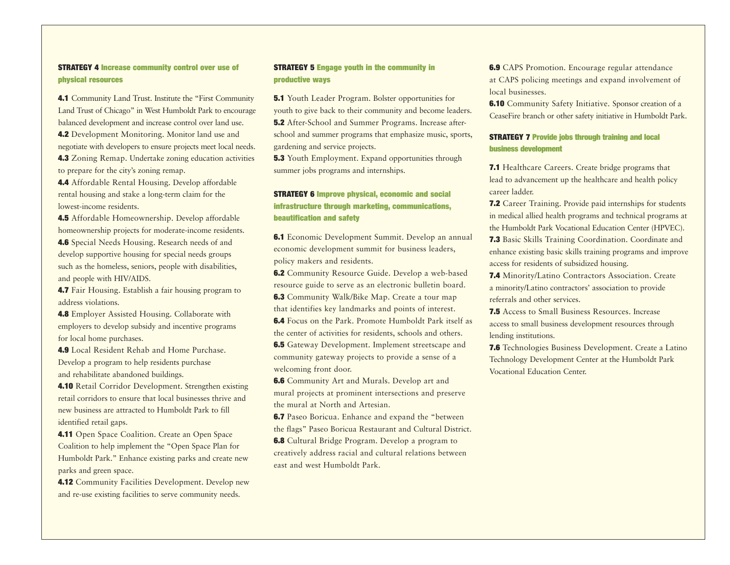### STRATEGY 4 Increase community control over use of physical resources

4.1 Community Land Trust. Institute the "First Community Land Trust of Chicago" in West Humboldt Park to encourage balanced development and increase control over land use. 4.2 Development Monitoring. Monitor land use and negotiate with developers to ensure projects meet local needs. 4.3 Zoning Remap. Undertake zoning education activities to prepare for the city's zoning remap.

4.4 Affordable Rental Housing. Develop affordable rental housing and stake a long-term claim for the lowest-income residents.

4.5 Affordable Homeownership. Develop affordable homeownership projects for moderate-income residents. 4.6 Special Needs Housing. Research needs of and develop supportive housing for special needs groups such as the homeless, seniors, people with disabilities, and people with HIV/AIDS.

4.7 Fair Housing. Establish a fair housing program to address violations.

4.8 Employer Assisted Housing. Collaborate with employers to develop subsidy and incentive programs for local home purchases.

4.9 Local Resident Rehab and Home Purchase. Develop a program to help residents purchase and rehabilitate abandoned buildings.

4.10 Retail Corridor Development. Strengthen existing retail corridors to ensure that local businesses thrive and new business are attracted to Humboldt Park to fill identified retail gaps.

4.11 Open Space Coalition. Create an Open Space Coalition to help implement the "Open Space Plan for Humboldt Park." Enhance existing parks and create new parks and green space.

4.12 Community Facilities Development. Develop new and re-use existing facilities to serve community needs.

#### STRATEGY 5 Engage youth in the community in productive ways

5.1 Youth Leader Program. Bolster opportunities for youth to give back to their community and become leaders. 5.2 After-School and Summer Programs. Increase afterschool and summer programs that emphasize music, sports, gardening and service projects.

**5.3** Youth Employment. Expand opportunities through summer jobs programs and internships.

# STRATEGY 6 Improve physical, economic and social infrastructure through marketing, communications, beautification and safety

6.1 Economic Development Summit. Develop an annual economic development summit for business leaders, policy makers and residents.

6.2 Community Resource Guide. Develop a web-based resource guide to serve as an electronic bulletin board. 6.3 Community Walk/Bike Map. Create a tour map that identifies key landmarks and points of interest. 6.4 Focus on the Park. Promote Humboldt Park itself as

the center of activities for residents, schools and others.

6.5 Gateway Development. Implement streetscape and community gateway projects to provide a sense of a welcoming front door.

6.6 Community Art and Murals. Develop art and mural projects at prominent intersections and preserve the mural at North and Artesian.

6.7 Paseo Boricua. Enhance and expand the "between the flags" Paseo Boricua Restaurant and Cultural District.

6.8 Cultural Bridge Program. Develop a program to creatively address racial and cultural relations between east and west Humboldt Park.

6.9 CAPS Promotion. Encourage regular attendance at CAPS policing meetings and expand involvement of local businesses.

6.10 Community Safety Initiative. Sponsor creation of a CeaseFire branch or other safety initiative in Humboldt Park.

### STRATEGY 7 Provide jobs through training and local business development

7.1 Healthcare Careers. Create bridge programs that lead to advancement up the healthcare and health policy career ladder.

7.2 Career Training. Provide paid internships for students in medical allied health programs and technical programs at the Humboldt Park Vocational Education Center (HPVEC). 7.3 Basic Skills Training Coordination. Coordinate and enhance existing basic skills training programs and improve access for residents of subsidized housing.

7.4 Minority/Latino Contractors Association. Create a minority/Latino contractors' association to provide referrals and other services.

7.5 Access to Small Business Resources. Increase access to small business development resources through lending institutions.

7.6 Technologies Business Development. Create a Latino Technology Development Center at the Humboldt Park Vocational Education Center.